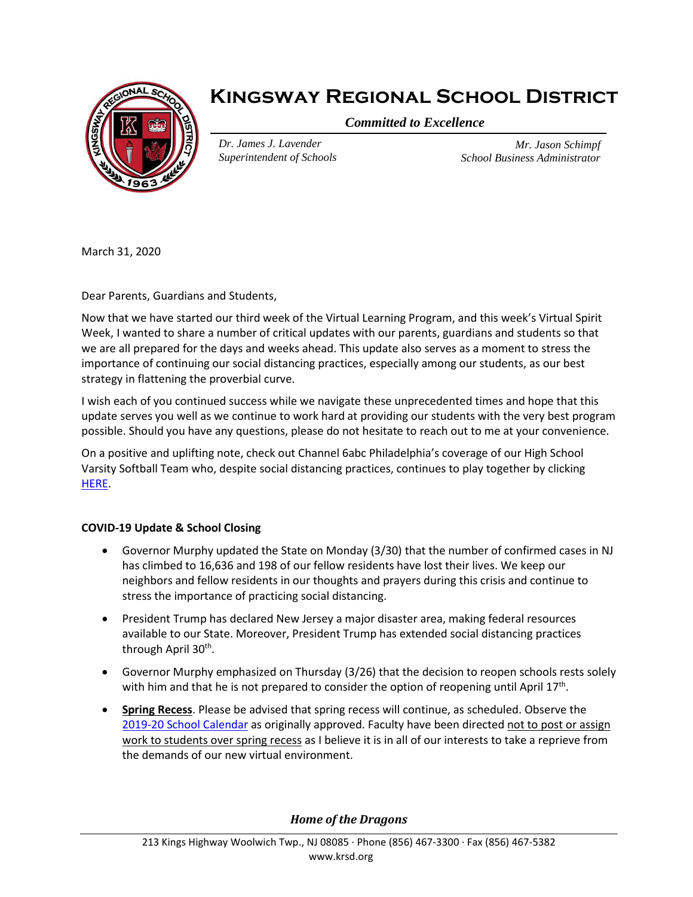

# **Kingsway Regional School District**

*Committed to Excellence*

*Dr. James J. Lavender Superintendent of Schools*

*Mr. Jason Schimpf School Business Administrator*

March 31, 2020

Dear Parents, Guardians and Students,

Now that we have started our third week of the Virtual Learning Program, and this week's Virtual Spirit Week, I wanted to share a number of critical updates with our parents, guardians and students so that we are all prepared for the days and weeks ahead. This update also serves as a moment to stress the importance of continuing our social distancing practices, especially among our students, as our best strategy in flattening the proverbial curve.

I wish each of you continued success while we navigate these unprecedented times and hope that this update serves you well as we continue to work hard at providing our students with the very best program possible. Should you have any questions, please do not hesitate to reach out to me at your convenience.

On a positive and uplifting note, check out Channel 6abc Philadelphia's coverage of our High School Varsity Softball Team who, despite social distancing practices, continues to play together by clicking [HERE.](https://protect-us.mimecast.com/s/v6h4ClYm2BFDMjmtG_T1L?domain=drive.google.com)

# **COVID-19 Update & School Closing**

- Governor Murphy updated the State on Monday (3/30) that the number of confirmed cases in NJ has climbed to 16,636 and 198 of our fellow residents have lost their lives. We keep our neighbors and fellow residents in our thoughts and prayers during this crisis and continue to stress the importance of practicing social distancing.
- President Trump has declared New Jersey a major disaster area, making federal resources available to our State. Moreover, President Trump has extended social distancing practices through April 30<sup>th</sup>.
- Governor Murphy emphasized on Thursday (3/26) that the decision to reopen schools rests solely with him and that he is not prepared to consider the option of reopening until April  $17<sup>th</sup>$ .
- **Spring Recess**. Please be advised that spring recess will continue, as scheduled. Observe the [2019-20 School Calendar](https://www.krsd.org/domain/48) as originally approved. Faculty have been directed not to post or assign work to students over spring recess as I believe it is in all of our interests to take a reprieve from the demands of our new virtual environment.

*Home of the Dragons*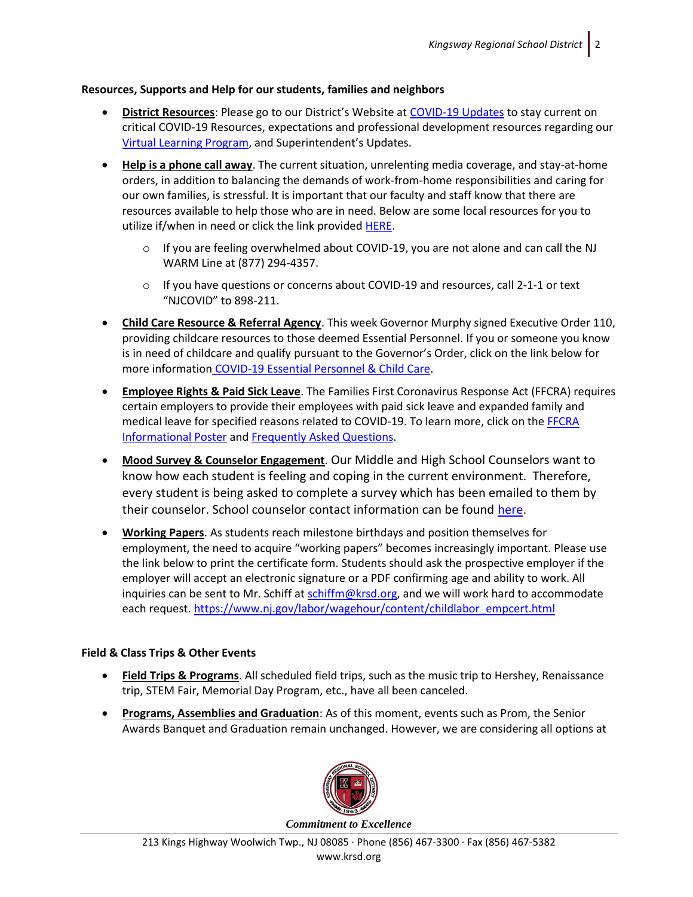### **Resources, Supports and Help for our students, families and neighbors**

- **District Resources**: Please go to our District's Website at [COVID-19 Updates](https://www.krsd.org/Page/1680) to stay current on critical COVID-19 Resources, expectations and professional development resources regarding our [Virtual Learning Program](https://www.krsd.org/Page/1683), and Superintendent's Updates.
- **Help is a phone call away**. The current situation, unrelenting media coverage, and stay-at-home orders, in addition to balancing the demands of work-from-home responsibilities and caring for our own families, is stressful. It is important that our faculty and staff know that there are resources available to help those who are in need. Below are some local resources for you to utilize if/when in need or click the link provided [HERE.](https://www.nj.gov/dcf/news/Hotlines&Helplines-COVID.pdf)
	- $\circ$  If you are feeling overwhelmed about COVID-19, you are not alone and can call the NJ WARM Line at (877) 294-4357.
	- $\circ$  If you have questions or concerns about COVID-19 and resources, call 2-1-1 or text "NJCOVID" to 898-211.
- **Child Care Resource & Referral Agency**. This week Governor Murphy signed Executive Order 110, providing childcare resources to those deemed Essential Personnel. If you or someone you know is in need of childcare and qualify pursuant to the Governor's Order, click on the link below for more information [COVID-19 Essential Personnel & Child Care.](https://media.fridaysis.com/parentportal/eastgreenwich/notificationAttachments/EO110%20Essential%20Personnel%20Childcare%20flyer%203-25-20F.pdf)
- **Employee Rights & Paid Sick Leave**. The Families First Coronavirus Response Act (FFCRA) requires certain employers to provide their employees with paid sick leave and expanded family and medical leave for specified reasons related to COVID-19. To learn more, click on th[e FFCRA](https://www.krsd.org/cms/lib/NJ01912751/Centricity/Domain/121/FFCRA_Poster_WH1422_Non-Federal.pdf)  [Informational Poster](https://www.krsd.org/cms/lib/NJ01912751/Centricity/Domain/121/FFCRA_Poster_WH1422_Non-Federal.pdf) and [Frequently Asked Questions.](https://www.krsd.org/cms/lib/NJ01912751/Centricity/Domain/121/USDOL%20--%20FAQ%20for%20Families%20First%20Coronavirsu%20Response%20Act.pdf)
- **Mood Survey & Counselor Engagement**. Our Middle and High School Counselors want to know how each student is feeling and coping in the current environment. Therefore, every student is being asked to complete a survey which has been emailed to them by their counselor. School counselor contact information can be found [here](https://www.krsd.org/Page/1688).
- **Working Papers**. As students reach milestone birthdays and position themselves for employment, the need to acquire "working papers" becomes increasingly important. Please use the link below to print the certificate form. Students should ask the prospective employer if the employer will accept an electronic signature or a PDF confirming age and ability to work. All inquiries can be sent to Mr. Schiff at [schiffm@krsd.org,](mailto:schiffm@krsd.org) and we will work hard to accommodate each request. [https://www.nj.gov/labor/wagehour/content/childlabor\\_empcert.html](https://protect-us.mimecast.com/s/UPz6C9ryDkiPvzGToAAMI?domain=nj.gov)

# **Field & Class Trips & Other Events**

- **Field Trips & Programs**. All scheduled field trips, such as the music trip to Hershey, Renaissance trip, STEM Fair, Memorial Day Program, etc., have all been canceled.
- **Programs, Assemblies and Graduation**: As of this moment, events such as Prom, the Senior Awards Banquet and Graduation remain unchanged. However, we are considering all options at

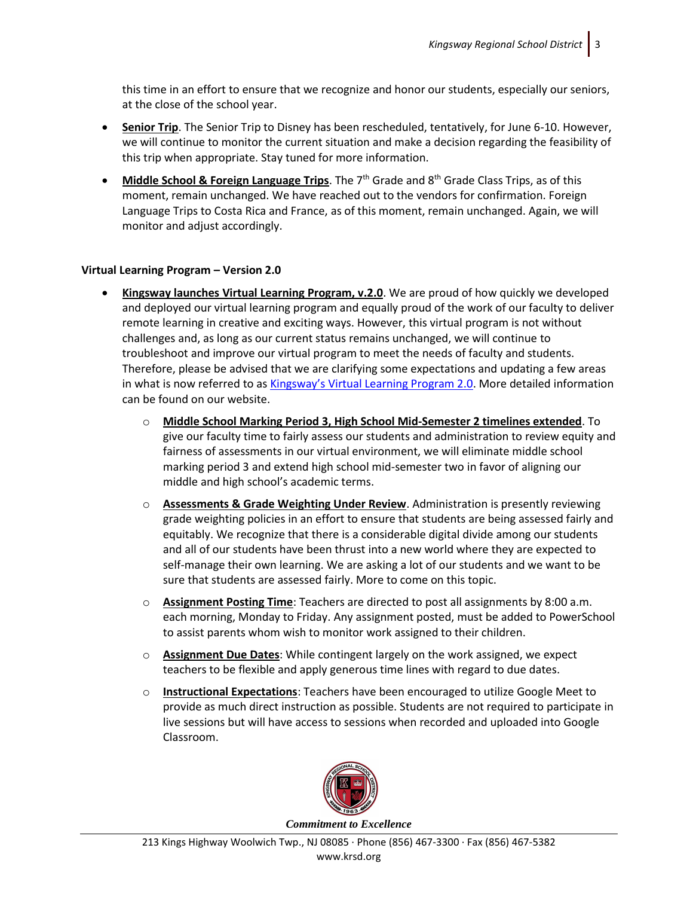this time in an effort to ensure that we recognize and honor our students, especially our seniors, at the close of the school year.

- **Senior Trip**. The Senior Trip to Disney has been rescheduled, tentatively, for June 6-10. However, we will continue to monitor the current situation and make a decision regarding the feasibility of this trip when appropriate. Stay tuned for more information.
- **Middle School & Foreign Language Trips**. The 7<sup>th</sup> Grade and 8<sup>th</sup> Grade Class Trips, as of this moment, remain unchanged. We have reached out to the vendors for confirmation. Foreign Language Trips to Costa Rica and France, as of this moment, remain unchanged. Again, we will monitor and adjust accordingly.

# **Virtual Learning Program – Version 2.0**

- **Kingsway launches Virtual Learning Program, v.2.0**. We are proud of how quickly we developed and deployed our virtual learning program and equally proud of the work of our faculty to deliver remote learning in creative and exciting ways. However, this virtual program is not without challenges and, as long as our current status remains unchanged, we will continue to troubleshoot and improve our virtual program to meet the needs of faculty and students. Therefore, please be advised that we are clarifying some expectations and updating a few areas in what is now referred to as [Kingsway's Virtual Learning Program 2.0](https://www.krsd.org/Page/1699). More detailed information can be found on our website.
	- o **Middle School Marking Period 3, High School Mid-Semester 2 timelines extended**. To give our faculty time to fairly assess our students and administration to review equity and fairness of assessments in our virtual environment, we will eliminate middle school marking period 3 and extend high school mid-semester two in favor of aligning our middle and high school's academic terms.
	- o **Assessments & Grade Weighting Under Review**. Administration is presently reviewing grade weighting policies in an effort to ensure that students are being assessed fairly and equitably. We recognize that there is a considerable digital divide among our students and all of our students have been thrust into a new world where they are expected to self-manage their own learning. We are asking a lot of our students and we want to be sure that students are assessed fairly. More to come on this topic.
	- o **Assignment Posting Time**: Teachers are directed to post all assignments by 8:00 a.m. each morning, Monday to Friday. Any assignment posted, must be added to PowerSchool to assist parents whom wish to monitor work assigned to their children.
	- o **Assignment Due Dates**: While contingent largely on the work assigned, we expect teachers to be flexible and apply generous time lines with regard to due dates.
	- o **Instructional Expectations**: Teachers have been encouraged to utilize Google Meet to provide as much direct instruction as possible. Students are not required to participate in live sessions but will have access to sessions when recorded and uploaded into Google Classroom.



*Commitment to Excellence*